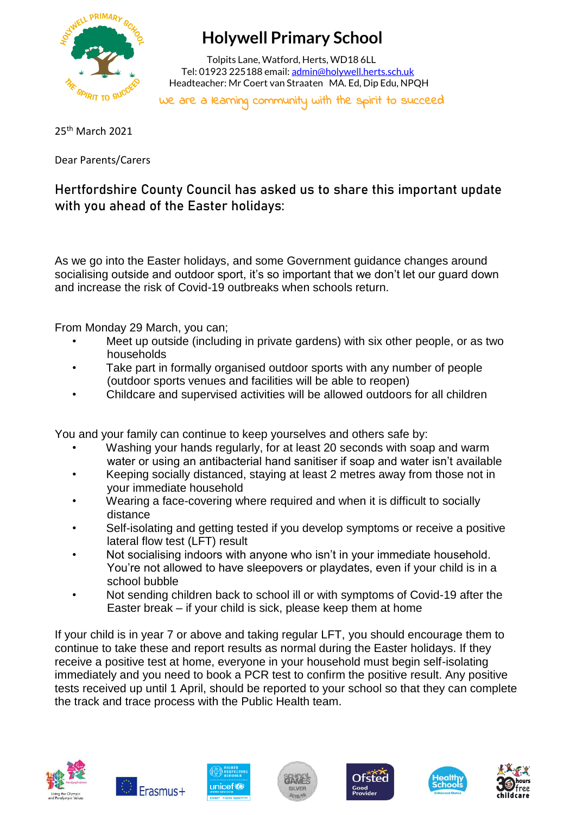

## **Holywell Primary School**

 Tolpits Lane, Watford, Herts, WD18 6LL Tel: 01923 225188 email[: admin@holywell.herts.sch.uk](mailto:admin@holywell.herts.sch.uk) Headteacher: Mr Coert van Straaten MA. Ed, Dip Edu, NPQH

We are a learning community with the spirit to succeed

25th March 2021

Dear Parents/Carers

**Hertfordshire County Council has asked us to share this important update with you ahead of the Easter holidays:**

As we go into the Easter holidays, and some Government guidance changes around socialising outside and outdoor sport, it's so important that we don't let our guard down and increase the risk of Covid-19 outbreaks when schools return.

From Monday 29 March, you can;

- Meet up outside (including in private gardens) with six other people, or as two households
- Take part in formally organised outdoor sports with any number of people (outdoor sports venues and facilities will be able to reopen)
- Childcare and supervised activities will be allowed outdoors for all children

You and your family can continue to keep yourselves and others safe by:

- Washing your hands regularly, for at least 20 seconds with soap and warm water or using an antibacterial hand sanitiser if soap and water isn't available
- Keeping socially distanced, staying at least 2 metres away from those not in your immediate household
- Wearing a face-covering where required and when it is difficult to socially distance
- Self-isolating and getting tested if you develop symptoms or receive a positive lateral flow test (LFT) result
- Not socialising indoors with anyone who isn't in your immediate household. You're not allowed to have sleepovers or playdates, even if your child is in a school bubble
- Not sending children back to school ill or with symptoms of Covid-19 after the Easter break – if your child is sick, please keep them at home

If your child is in year 7 or above and taking regular LFT, you should encourage them to continue to take these and report results as normal during the Easter holidays. If they receive a positive test at home, everyone in your household must begin self-isolating immediately and you need to book a PCR test to confirm the positive result. Any positive tests received up until 1 April, should be reported to your school so that they can complete the track and trace process with the Public Health team.